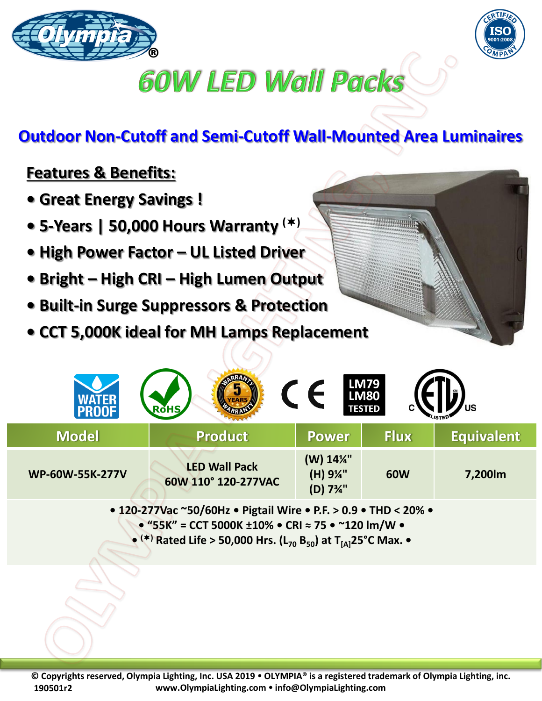



## **60W LED Wall Packs**

## **Outdoor Non-Cutoff and Semi-Cutoff Wall-Mounted Area Luminaires**

## **Features & Benefits:**

- **Great Energy Savings !**
- **5-Years | 50,000 Hours Warranty ()**
- **High Power Factor – UL Listed Driver**
- **Bright – High CRI – High Lumen Output**
- **Built-in Surge Suppressors & Protection**
- **CCT 5,000K ideal for MH Lamps Replacement**

|                        | <b>RoHS</b>                                 |                                                             | <b>LM79<br/>LM80</b><br><b>TESTED</b> | ีบร               |
|------------------------|---------------------------------------------|-------------------------------------------------------------|---------------------------------------|-------------------|
| <b>Model</b>           | <b>Product</b>                              | <b>Power</b>                                                | <b>Flux</b>                           | <b>Equivalent</b> |
| <b>WP-60W-55K-277V</b> | <b>LED Wall Pack</b><br>60W 110° 120-277VAC | (W) 14%"<br>(H) 9¼"<br>(D) 7 <sup>3</sup> / <sub>4</sub> '' | <b>60W</b>                            | 7,200lm           |

**• 120-277Vac ~50/60Hz • Pigtail Wire • P.F. > 0.9 • THD < 20% • • "55K" = CCT 5000K ±10% • CRI ≈ 75 • ~120 lm/W • • () Rated Life > 50,000 Hrs. (L<sup>70</sup> B50) at T[A]25°C Max. •**

**© Copyrights reserved, Olympia Lighting, Inc. USA 2019 OLYMPIA® is a registered trademark of Olympia Lighting, inc. www.OlympiaLighting.com info@OlympiaLighting.com 190501r2**